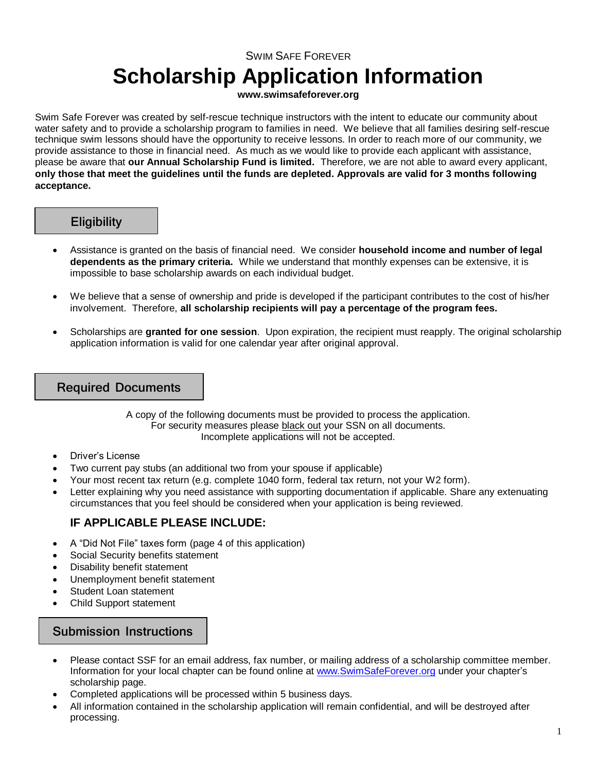## SWIM SAFE FOREVER **Scholarship Application Information**

#### **www.swimsafeforever.org**

Swim Safe Forever was created by self-rescue technique instructors with the intent to educate our community about water safety and to provide a scholarship program to families in need. We believe that all families desiring self-rescue technique swim lessons should have the opportunity to receive lessons. In order to reach more of our community, we provide assistance to those in financial need. As much as we would like to provide each applicant with assistance, please be aware that **our Annual Scholarship Fund is limited.** Therefore, we are not able to award every applicant, **only those that meet the guidelines until the funds are depleted. Approvals are valid for 3 months following acceptance.**

### **Eligibility**

- Assistance is granted on the basis of financial need. We consider **household income and number of legal dependents as the primary criteria.** While we understand that monthly expenses can be extensive, it is impossible to base scholarship awards on each individual budget.
- We believe that a sense of ownership and pride is developed if the participant contributes to the cost of his/her involvement. Therefore, **all scholarship recipients will pay a percentage of the program fees.**
- Scholarships are **granted for one session**. Upon expiration, the recipient must reapply. The original scholarship application information is valid for one calendar year after original approval.

### Required Documents

A copy of the following documents must be provided to process the application. For security measures please black out your SSN on all documents. Incomplete applications will not be accepted.

- Driver's License
- Two current pay stubs (an additional two from your spouse if applicable)
- Your most recent tax return (e.g. complete 1040 form, federal tax return, not your W2 form).
- Letter explaining why you need assistance with supporting documentation if applicable. Share any extenuating circumstances that you feel should be considered when your application is being reviewed.

### **IF APPLICABLE PLEASE INCLUDE:**

- A "Did Not File" taxes form (page 4 of this application)
- Social Security benefits statement
- Disability benefit statement
- Unemployment benefit statement
- Student Loan statement
- Child Support statement

### Submission Instructions

- Please contact SSF for an email address, fax number, or mailing address of a scholarship committee member. Information for your local chapter can be found online at [www.SwimSafeForever.org](http://www.swimsafeforever.org/) under your chapter's scholarship page.
- Completed applications will be processed within 5 business days.
- All information contained in the scholarship application will remain confidential, and will be destroyed after processing.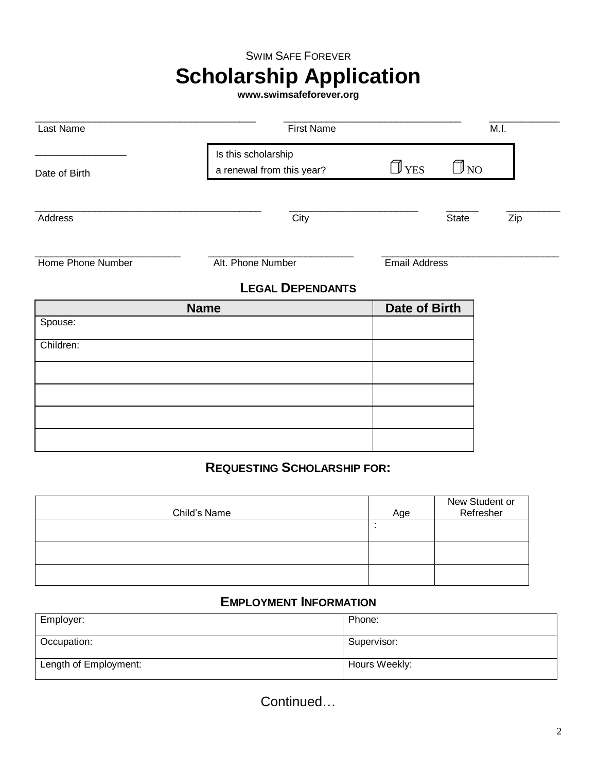### SWIM SAFE FOREVER

# **Scholarship Application**

**www.swimsafeforever.org**

| Last Name         | <b>First Name</b>                                |                      |                               | M.I. |
|-------------------|--------------------------------------------------|----------------------|-------------------------------|------|
| Date of Birth     | Is this scholarship<br>a renewal from this year? | $\Box$ YES           | $\Box$ no                     |      |
| Address           | City                                             |                      | <b>State</b>                  | Zip  |
| Home Phone Number | Alt. Phone Number                                | <b>Email Address</b> |                               |      |
|                   | <b>LEGAL DEPENDANTS</b>                          |                      |                               |      |
| <b>Name</b>       |                                                  | <b>Date of Birth</b> |                               |      |
| Spouse:           |                                                  |                      |                               |      |
| Children:         |                                                  |                      |                               |      |
|                   |                                                  |                      |                               |      |
|                   |                                                  |                      |                               |      |
|                   |                                                  |                      |                               |      |
|                   |                                                  |                      |                               |      |
|                   |                                                  |                      |                               |      |
|                   | <b>REQUESTING SCHOLARSHIP FOR:</b>               |                      |                               |      |
|                   |                                                  |                      | $M = 1$ . Ottoral and the set |      |

| Child's Name | Age | New Student or<br>Refresher |
|--------------|-----|-----------------------------|
|              |     |                             |
|              |     |                             |
|              |     |                             |

### **EMPLOYMENT INFORMATION**

| Employer:             | Phone:        |
|-----------------------|---------------|
| Occupation:           | Supervisor:   |
| Length of Employment: | Hours Weekly: |

Continued…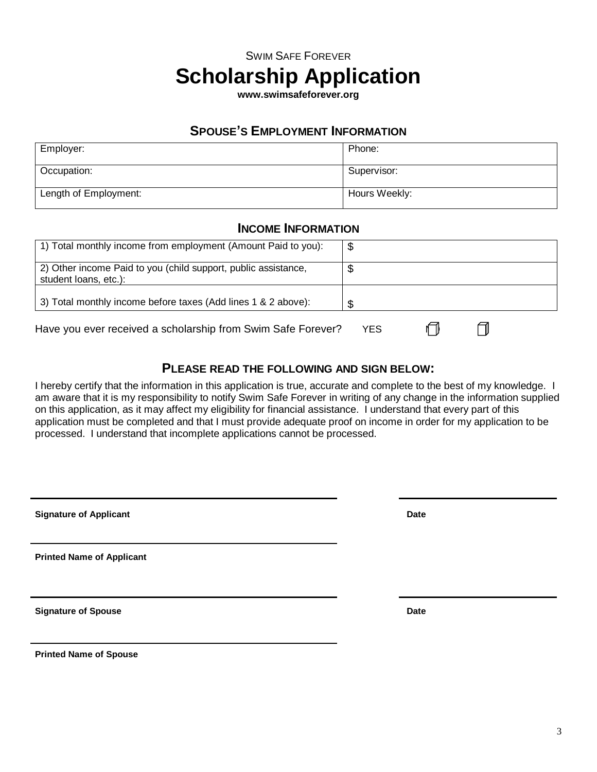## SWIM SAFE FOREVER **Scholarship Application**

**www.swimsafeforever.org**

### **SPOUSE'S EMPLOYMENT INFORMATION**

| Employer:             | Phone:        |
|-----------------------|---------------|
| Occupation:           | Supervisor:   |
| Length of Employment: | Hours Weekly: |

### **INCOME INFORMATION**

| 1) Total monthly income from employment (Amount Paid to you):                           |     |
|-----------------------------------------------------------------------------------------|-----|
| 2) Other income Paid to you (child support, public assistance,<br>student loans, etc.): |     |
| 3) Total monthly income before taxes (Add lines 1 & 2 above):                           |     |
| Have you ever received a scholarship from Swim Safe Forever?                            | YES |

### **PLEASE READ THE FOLLOWING AND SIGN BELOW:**

I hereby certify that the information in this application is true, accurate and complete to the best of my knowledge. I am aware that it is my responsibility to notify Swim Safe Forever in writing of any change in the information supplied on this application, as it may affect my eligibility for financial assistance. I understand that every part of this application must be completed and that I must provide adequate proof on income in order for my application to be processed. I understand that incomplete applications cannot be processed.

| <b>Signature of Applicant</b> | Date |
|-------------------------------|------|
|                               |      |

**Printed Name of Applicant**

**Signature of Spouse Date** 

**Printed Name of Spouse**